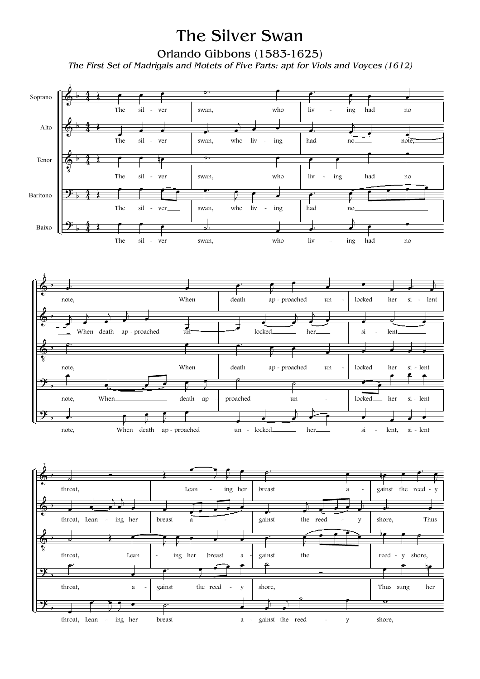## The Silver Swan

Orlando Gibbons (1583-1625)

*The First Set of Madrigals and Motets of Five Parts: apt for Viols and Voyces (1612)*